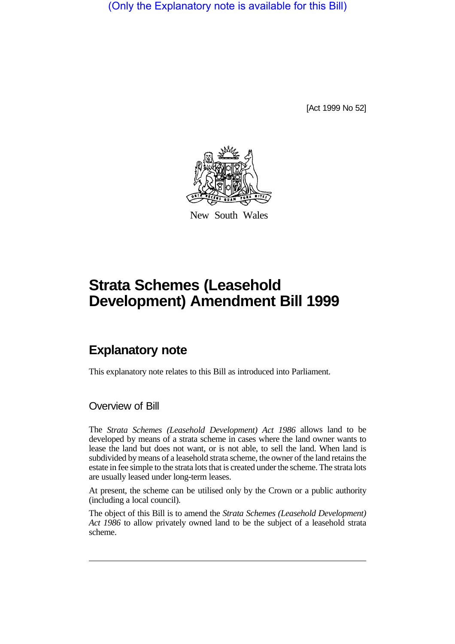(Only the Explanatory note is available for this Bill)

[Act 1999 No 52]



New South Wales

# **Strata Schemes (Leasehold Development) Amendment Bill 1999**

# **Explanatory note**

This explanatory note relates to this Bill as introduced into Parliament.

Overview of Bill

The *Strata Schemes (Leasehold Development) Act 1986* allows land to be developed by means of a strata scheme in cases where the land owner wants to lease the land but does not want, or is not able, to sell the land. When land is subdivided by means of a leasehold strata scheme, the owner of the land retains the estate in fee simple to the strata lots that is created under the scheme. The strata lots are usually leased under long-term leases.

At present, the scheme can be utilised only by the Crown or a public authority (including a local council).

The object of this Bill is to amend the *Strata Schemes (Leasehold Development) Act 1986* to allow privately owned land to be the subject of a leasehold strata scheme.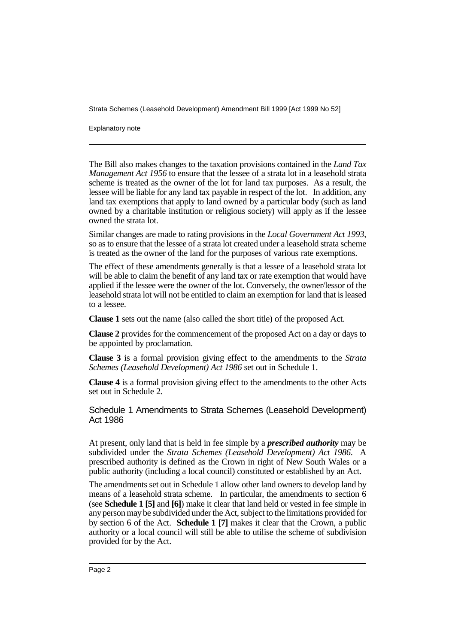Strata Schemes (Leasehold Development) Amendment Bill 1999 [Act 1999 No 52]

Explanatory note

The Bill also makes changes to the taxation provisions contained in the *Land Tax Management Act 1956* to ensure that the lessee of a strata lot in a leasehold strata scheme is treated as the owner of the lot for land tax purposes. As a result, the lessee will be liable for any land tax payable in respect of the lot. In addition, any land tax exemptions that apply to land owned by a particular body (such as land owned by a charitable institution or religious society) will apply as if the lessee owned the strata lot.

Similar changes are made to rating provisions in the *Local Government Act 1993*, so as to ensure that the lessee of a strata lot created under a leasehold strata scheme is treated as the owner of the land for the purposes of various rate exemptions.

The effect of these amendments generally is that a lessee of a leasehold strata lot will be able to claim the benefit of any land tax or rate exemption that would have applied if the lessee were the owner of the lot. Conversely, the owner/lessor of the leasehold strata lot will not be entitled to claim an exemption for land that is leased to a lessee.

**Clause 1** sets out the name (also called the short title) of the proposed Act.

**Clause 2** provides for the commencement of the proposed Act on a day or days to be appointed by proclamation.

**Clause 3** is a formal provision giving effect to the amendments to the *Strata Schemes (Leasehold Development) Act 1986* set out in Schedule 1.

**Clause 4** is a formal provision giving effect to the amendments to the other Acts set out in Schedule 2.

Schedule 1 Amendments to Strata Schemes (Leasehold Development) Act 1986

At present, only land that is held in fee simple by a *prescribed authority* may be subdivided under the *Strata Schemes (Leasehold Development) Act 1986*. A prescribed authority is defined as the Crown in right of New South Wales or a public authority (including a local council) constituted or established by an Act.

The amendments set out in Schedule 1 allow other land owners to develop land by means of a leasehold strata scheme. In particular, the amendments to section 6 (see **Schedule 1 [5]** and **[6]**) make it clear that land held or vested in fee simple in any person may be subdivided under the Act, subject to the limitations provided for by section 6 of the Act. **Schedule 1 [7]** makes it clear that the Crown, a public authority or a local council will still be able to utilise the scheme of subdivision provided for by the Act.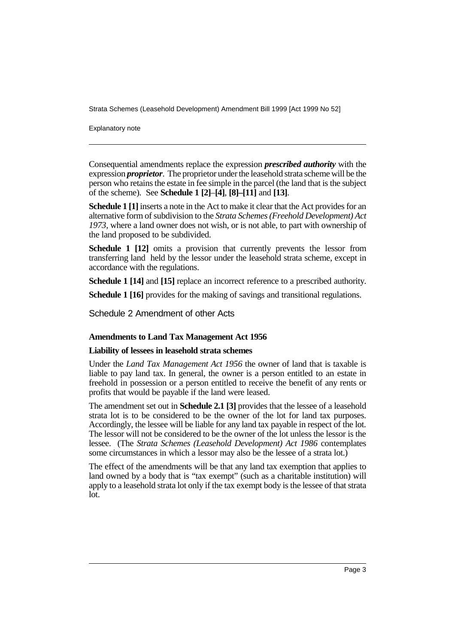Strata Schemes (Leasehold Development) Amendment Bill 1999 [Act 1999 No 52]

Explanatory note

Consequential amendments replace the expression *prescribed authority* with the expression *proprietor*. The proprietor under the leasehold strata scheme will be the person who retains the estate in fee simple in the parcel (the land that is the subject of the scheme). See **Schedule 1 [2]**–**[4]**, **[8]–[11]** and **[13]**.

**Schedule 1 [1]** inserts a note in the Act to make it clear that the Act provides for an alternative form of subdivision to the *Strata Schemes (Freehold Development) Act 1973*, where a land owner does not wish, or is not able, to part with ownership of the land proposed to be subdivided.

**Schedule 1 [12]** omits a provision that currently prevents the lessor from transferring land held by the lessor under the leasehold strata scheme, except in accordance with the regulations.

**Schedule 1 [14]** and **[15]** replace an incorrect reference to a prescribed authority.

**Schedule 1 [16]** provides for the making of savings and transitional regulations.

Schedule 2 Amendment of other Acts

#### **Amendments to Land Tax Management Act 1956**

#### **Liability of lessees in leasehold strata schemes**

Under the *Land Tax Management Act 1956* the owner of land that is taxable is liable to pay land tax. In general, the owner is a person entitled to an estate in freehold in possession or a person entitled to receive the benefit of any rents or profits that would be payable if the land were leased.

The amendment set out in **Schedule 2.1 [3]** provides that the lessee of a leasehold strata lot is to be considered to be the owner of the lot for land tax purposes. Accordingly, the lessee will be liable for any land tax payable in respect of the lot. The lessor will not be considered to be the owner of the lot unless the lessor is the lessee. (The *Strata Schemes (Leasehold Development) Act 1986* contemplates some circumstances in which a lessor may also be the lessee of a strata lot.)

The effect of the amendments will be that any land tax exemption that applies to land owned by a body that is "tax exempt" (such as a charitable institution) will apply to a leasehold strata lot only if the tax exempt body is the lessee of that strata lot.